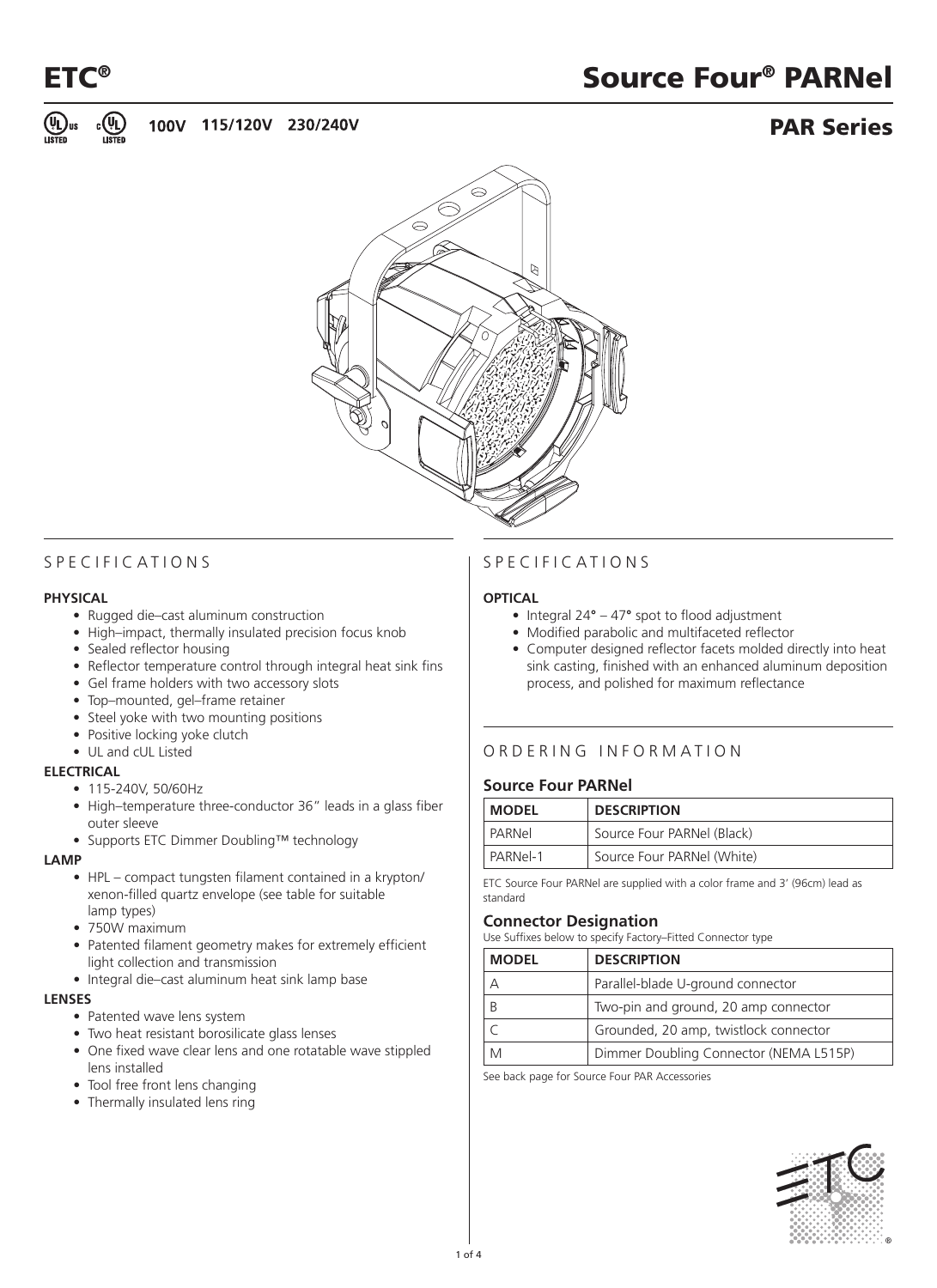

# ETC<sup>®</sup> Source Four® PARNel ®



## PAR Series



## S P E C I F I C A T I O N S

#### **PHYSICAL**

- Rugged die–cast aluminum construction
- High–impact, thermally insulated precision focus knob
- Sealed reflector housing
- Reflector temperature control through integral heat sink fins
- Gel frame holders with two accessory slots
- Top-mounted, gel-frame retainer
- Steel yoke with two mounting positions
- Positive locking yoke clutch
- • UL and cUL Listed

#### **ELECTRICAL**

- 115-240V, 50/60Hz
- High–temperature three-conductor 36" leads in a glass fiber outer sleeve
- • Supports ETC Dimmer Doubling™ technology

#### **LAMP**

- HPL compact tungsten filament contained in a krypton/ xenon-filled quartz envelope (see table for suitable lamp types)
- 750W maximum
- Patented filament geometry makes for extremely efficient light collection and transmission
- Integral die–cast aluminum heat sink lamp base

#### **LENSES**

- Patented wave lens system
- Two heat resistant borosilicate glass lenses
- One fixed wave clear lens and one rotatable wave stippled lens installed
- Tool free front lens changing
- Thermally insulated lens ring

## S pecifications

#### **OPTICAL**

- Integral  $24^\circ 47^\circ$  spot to flood adjustment
- Modified parabolic and multifaceted reflector
- Computer designed reflector facets molded directly into heat sink casting, finished with an enhanced aluminum deposition process, and polished for maximum reflectance

## O rdering information

#### **Source Four PARNel**

| <b>MODEL</b> | <b>DESCRIPTION</b>         |
|--------------|----------------------------|
| PARNel       | Source Four PARNel (Black) |
| PARNel-1     | Source Four PARNel (White) |

ETC Source Four PARNel are supplied with a color frame and 3' (96cm) lead as standard

#### **Connector Designation**

Use Suffixes below to specify Factory–Fitted Connector type

| <b>MODEL</b> | <b>DESCRIPTION</b>                     |
|--------------|----------------------------------------|
| Д            | Parallel-blade U-ground connector      |
| B            | Two-pin and ground, 20 amp connector   |
|              | Grounded, 20 amp, twistlock connector  |
|              | Dimmer Doubling Connector (NEMA L515P) |

See back page for Source Four PAR Accessories

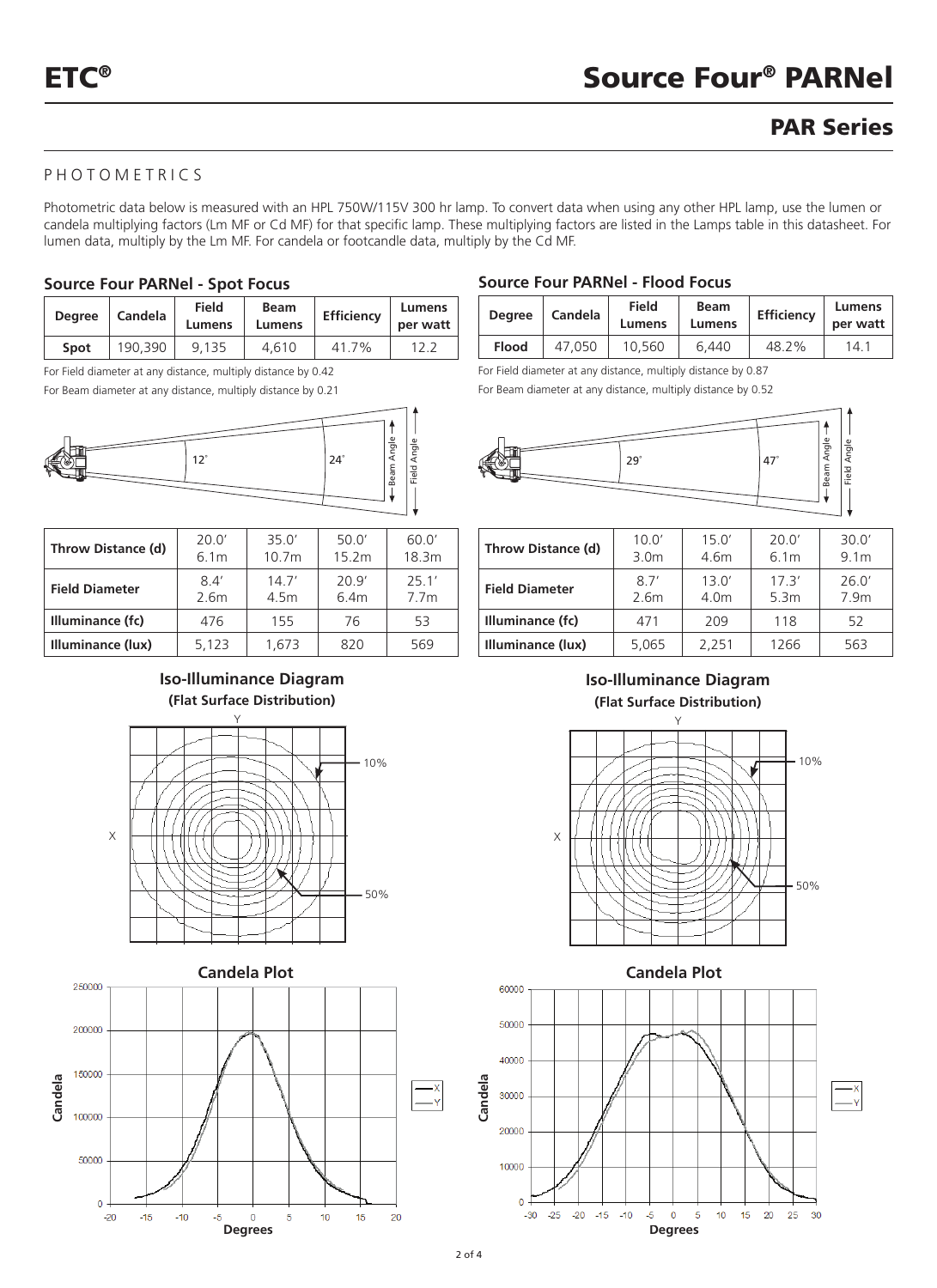## PAR Series

## photometrics

Photometric data below is measured with an HPL 750W/115V 300 hr lamp. To convert data when using any other HPL lamp, use the lumen or candela multiplying factors (Lm MF or Cd MF) for that specific lamp. These multiplying factors are listed in the Lamps table in this datasheet. For lumen data, multiply by the Lm MF. For candela or footcandle data, multiply by the Cd MF.

#### **Source Four PARNel - Spot Focus**

| <b>Dearee</b> | Candela | Field<br>Lumens | <b>Beam</b><br>Lumens | <b>Efficiency</b> | Lumens<br>per watt |
|---------------|---------|-----------------|-----------------------|-------------------|--------------------|
| Spot          | 190.390 | 9.135           | 4.610                 | 41 7%             |                    |

For Field diameter at any distance, multiply distance by 0.42



| Throw Distance (d)    | 20.0' | 35 $0'$           |      | 60.0'            |
|-----------------------|-------|-------------------|------|------------------|
|                       | 6.1m  | 10.7 <sub>m</sub> |      | 18.3m            |
| <b>Field Diameter</b> | 84'   | 147'              | 209' | 251'             |
|                       | 2.6m  | 4.5m              | 6.4m | 7.7 <sub>m</sub> |
| Illuminance (fc)      | 476   | 155               | 76   | 53               |
| Illuminance (lux)     | 5,123 | 1.673             | 820  | 569              |

### **Iso-Illuminance Diagram (Flat Surface Distribution)**





#### **Source Four PARNel - Flood Focus**

| <b>Dearee</b> | Candela | <b>Field</b><br>Lumens | <b>Beam</b><br>Lumens | Efficiency | Lumens<br>per watt |
|---------------|---------|------------------------|-----------------------|------------|--------------------|
| Flood         | 47.050  | 10.560                 | 6.440                 | 48.2%      | 14.1               |

For Field diameter at any distance, multiply distance by 0.87

For Beam diameter at any distance, multiply distance by 0.52



| Throw Distance (d)    | 10.0'            | 15.0' | 20.0'            | 30.0'            |
|-----------------------|------------------|-------|------------------|------------------|
|                       | 3.0 <sub>m</sub> | 4.6m  | 6.1 <sub>m</sub> | 9.1 <sub>m</sub> |
| <b>Field Diameter</b> | 87'              | 130'  | 17.3'            | 26.0'            |
|                       | 2.6m             | 4.0m  | 5.3m             | 7.9m             |
| Illuminance (fc)      | 471              | 209   | 118              | 52               |
| Illuminance (lux)     | 5,065            | 2,251 | 1266             | 563              |

## **Iso-Illuminance Diagram (Flat Surface Distribution)**



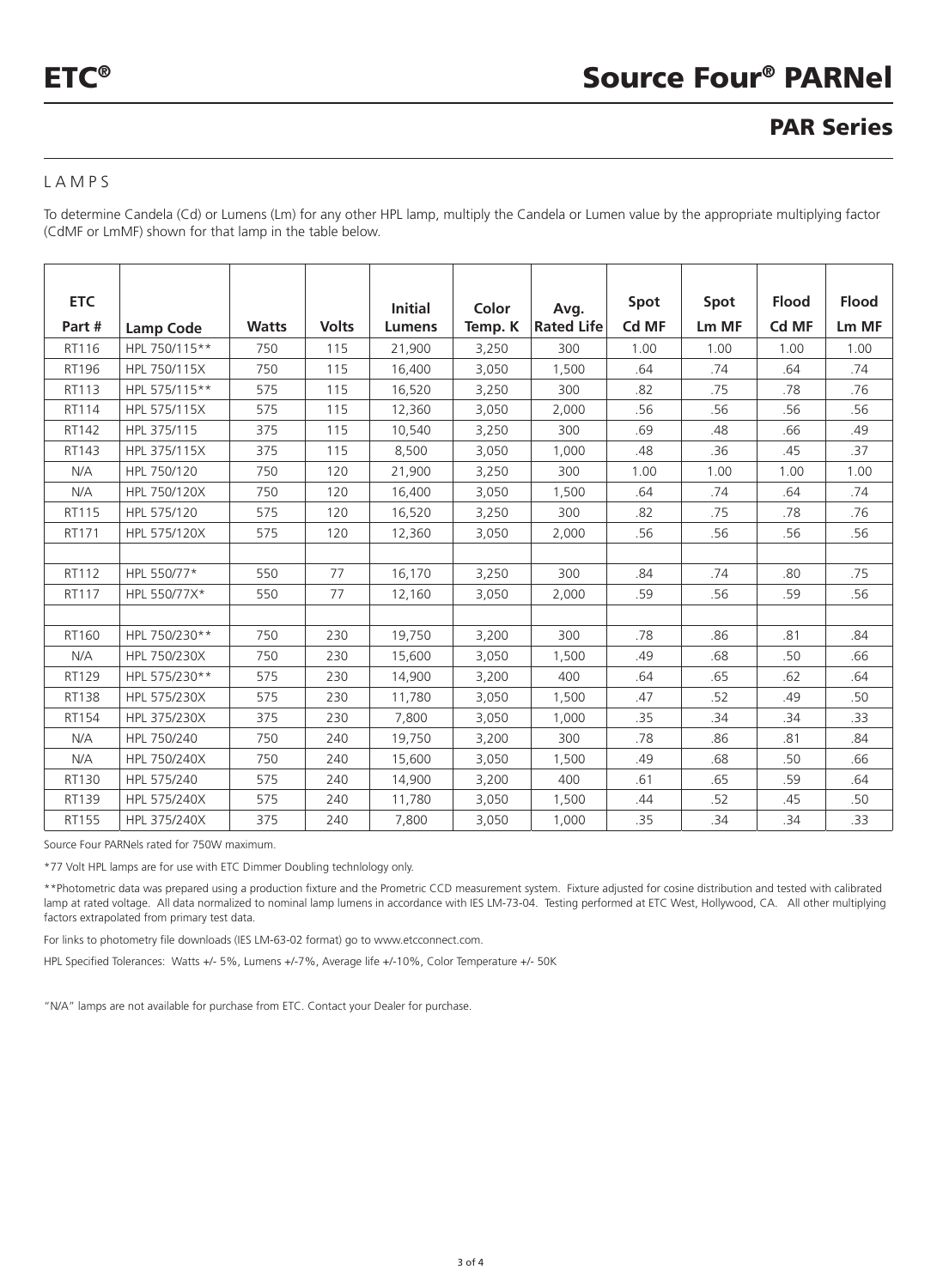## PAR Series

### LAMPS

To determine Candela (Cd) or Lumens (Lm) for any other HPL lamp, multiply the Candela or Lumen value by the appropriate multiplying factor (CdMF or LmMF) shown for that lamp in the table below.

| <b>ETC</b> |                  |              |              | <b>Initial</b> | Color   | Avg.              | Spot  | Spot  | <b>Flood</b> | <b>Flood</b> |
|------------|------------------|--------------|--------------|----------------|---------|-------------------|-------|-------|--------------|--------------|
| Part #     | <b>Lamp Code</b> | <b>Watts</b> | <b>Volts</b> | <b>Lumens</b>  | Temp. K | <b>Rated Life</b> | Cd MF | Lm MF | Cd MF        | Lm MF        |
| RT116      | HPL 750/115**    | 750          | 115          | 21,900         | 3,250   | 300               | 1.00  | 1.00  | 1.00         | 1.00         |
| RT196      | HPL 750/115X     | 750          | 115          | 16,400         | 3,050   | 1,500             | .64   | .74   | .64          | .74          |
| RT113      | HPL 575/115**    | 575          | 115          | 16,520         | 3,250   | 300               | .82   | .75   | .78          | .76          |
| RT114      | HPL 575/115X     | 575          | 115          | 12,360         | 3,050   | 2,000             | .56   | .56   | .56          | .56          |
| RT142      | HPL 375/115      | 375          | 115          | 10,540         | 3,250   | 300               | .69   | .48   | .66          | .49          |
| RT143      | HPL 375/115X     | 375          | 115          | 8,500          | 3,050   | 1,000             | .48   | .36   | .45          | .37          |
| N/A        | HPL 750/120      | 750          | 120          | 21,900         | 3,250   | 300               | 1.00  | 1.00  | 1.00         | 1.00         |
| N/A        | HPL 750/120X     | 750          | 120          | 16,400         | 3,050   | 1,500             | .64   | .74   | .64          | .74          |
| RT115      | HPL 575/120      | 575          | 120          | 16,520         | 3,250   | 300               | .82   | .75   | .78          | .76          |
| RT171      | HPL 575/120X     | 575          | 120          | 12,360         | 3,050   | 2,000             | .56   | .56   | .56          | .56          |
|            |                  |              |              |                |         |                   |       |       |              |              |
| RT112      | HPL 550/77*      | 550          | 77           | 16,170         | 3,250   | 300               | .84   | .74   | .80          | .75          |
| RT117      | HPL 550/77X*     | 550          | 77           | 12,160         | 3,050   | 2,000             | .59   | .56   | .59          | .56          |
|            |                  |              |              |                |         |                   |       |       |              |              |
| RT160      | HPL 750/230**    | 750          | 230          | 19,750         | 3,200   | 300               | .78   | .86   | .81          | .84          |
| N/A        | HPL 750/230X     | 750          | 230          | 15,600         | 3,050   | 1,500             | .49   | .68   | .50          | .66          |
| RT129      | HPL 575/230**    | 575          | 230          | 14,900         | 3,200   | 400               | .64   | .65   | .62          | .64          |
| RT138      | HPL 575/230X     | 575          | 230          | 11,780         | 3,050   | 1,500             | .47   | .52   | .49          | .50          |
| RT154      | HPL 375/230X     | 375          | 230          | 7,800          | 3,050   | 1,000             | .35   | .34   | .34          | .33          |
| N/A        | HPL 750/240      | 750          | 240          | 19,750         | 3,200   | 300               | .78   | .86   | .81          | .84          |
| N/A        | HPL 750/240X     | 750          | 240          | 15,600         | 3,050   | 1,500             | .49   | .68   | .50          | .66          |
| RT130      | HPL 575/240      | 575          | 240          | 14,900         | 3,200   | 400               | .61   | .65   | .59          | .64          |
| RT139      | HPL 575/240X     | 575          | 240          | 11,780         | 3,050   | 1,500             | .44   | .52   | .45          | .50          |
| RT155      | HPL 375/240X     | 375          | 240          | 7,800          | 3,050   | 1,000             | .35   | .34   | .34          | .33          |

Source Four PARNels rated for 750W maximum.

\*77 Volt HPL lamps are for use with ETC Dimmer Doubling technlology only.

\*\*Photometric data was prepared using a production fixture and the Prometric CCD measurement system. Fixture adjusted for cosine distribution and tested with calibrated lamp at rated voltage. All data normalized to nominal lamp lumens in accordance with IES LM-73-04. Testing performed at ETC West, Hollywood, CA. All other multiplying factors extrapolated from primary test data.

For links to photometry file downloads (IES LM-63-02 format) go to www.etcconnect.com.

HPL Specified Tolerances: Watts +/- 5%, Lumens +/-7%, Average life +/-10%, Color Temperature +/- 50K

"N/A" lamps are not available for purchase from ETC. Contact your Dealer for purchase.